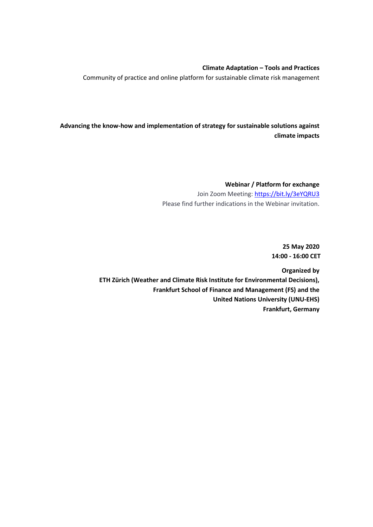#### **Climate Adaptation – Tools and Practices**

Community of practice and online platform for sustainable climate risk management

**Advancing the know-how and implementation of strategy for sustainable solutions against climate impacts**

> **Webinar / Platform for exchange** Join Zoom Meeting:<https://bit.ly/3eYQRU3> Please find further indications in the Webinar invitation.

> > **25 May 2020 14:00 - 16:00 CET**

**Organized by ETH Zürich (Weather and Climate Risk Institute for Environmental Decisions), Frankfurt School of Finance and Management (FS) and the United Nations University (UNU-EHS) Frankfurt, Germany**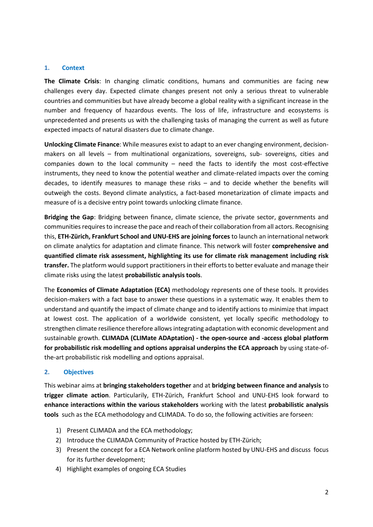#### **1. Context**

**The Climate Crisis**: In changing climatic conditions, humans and communities are facing new challenges every day. Expected climate changes present not only a serious threat to vulnerable countries and communities but have already become a global reality with a significant increase in the number and frequency of hazardous events. The loss of life, infrastructure and ecosystems is unprecedented and presents us with the challenging tasks of managing the current as well as future expected impacts of natural disasters due to climate change.

**Unlocking Climate Finance**: While measures exist to adapt to an ever changing environment, decisionmakers on all levels – from multinational organizations, sovereigns, sub- sovereigns, cities and companies down to the local community – need the facts to identify the most cost-effective instruments, they need to know the potential weather and climate-related impacts over the coming decades, to identify measures to manage these risks – and to decide whether the benefits will outweigh the costs. Beyond climate analystics, a fact-based monetarization of climate impacts and measure of is a decisive entry point towards unlocking climate finance.

**Bridging the Gap**: Bridging between finance, climate science, the private sector, governments and communities requires to increase the pace and reach of their collaboration from all actors. Recognising this, **ETH-Zürich, Frankfurt School and UNU-EHS are joining forces** to launch an international network on climate analytics for adaptation and climate finance. This network will foster **comprehensive and quantified climate risk assessment, highlighting its use for climate risk management including risk transfer.** The platform would support practitioners in their efforts to better evaluate and manage their climate risks using the latest **probabilistic analysis tools**.

The **Economics of Climate Adaptation (ECA)** methodology represents one of these tools. It provides decision-makers with a fact base to answer these questions in a systematic way. It enables them to understand and quantify the impact of climate change and to identify actions to minimize that impact at lowest cost. The application of a worldwide consistent, yet locally specific methodology to strengthen climate resilience therefore allows integrating adaptation with economic development and sustainable growth. **CLIMADA (CLIMate ADAptation) - the open-source and -access global platform for probabilistic risk modelling and options appraisal underpins the ECA approach** by using state-ofthe-art probabilistic risk modelling and options appraisal.

#### **2. Objectives**

This webinar aims at **bringing stakeholders together** and at **bridging between finance and analysis** to **trigger climate action**. Particularily, ETH-Zürich, Frankfurt School and UNU-EHS look forward to **enhance interactions within the various stakeholders** working with the latest **probabilistic analysis tools** such as the ECA methodology and CLIMADA. To do so, the following activities are forseen:

- 1) Present CLIMADA and the ECA methodology;
- 2) Introduce the CLIMADA Community of Practice hosted by ETH-Zürich;
- 3) Present the concept for a ECA Network online platform hosted by UNU-EHS and discuss focus for its further development;
- 4) Highlight examples of ongoing ECA Studies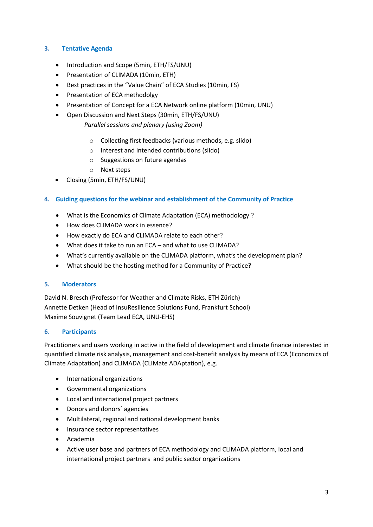## **3. Tentative Agenda**

- Introduction and Scope (5min, ETH/FS/UNU)
- Presentation of CLIMADA (10min, ETH)
- Best practices in the "Value Chain" of ECA Studies (10min, FS)
- Presentation of ECA methodolgy
- Presentation of Concept for a ECA Network online platform (10min, UNU)
- Open Discussion and Next Steps (30min, ETH/FS/UNU) *Parallel sessions and plenary (using Zoom)*
	- o Collecting first feedbacks (various methods, e.g. slido)
	- o Interest and intended contributions (slido)
	- o Suggestions on future agendas
	- o Next steps
- Closing (5min, ETH/FS/UNU)

## **4. Guiding questions for the webinar and establishment of the Community of Practice**

- What is the Economics of Climate Adaptation (ECA) methodology ?
- How does CLIMADA work in essence?
- How exactly do ECA and CLIMADA relate to each other?
- What does it take to run an ECA and what to use CLIMADA?
- What's currently available on the CLIMADA platform, what's the development plan?
- What should be the hosting method for a Community of Practice?

#### **5. Moderators**

David N. Bresch (Professor for Weather and Climate Risks, ETH Zürich) Annette Detken (Head of InsuResilience Solutions Fund, Frankfurt School) Maxime Souvignet (Team Lead ECA, UNU-EHS)

#### **6. Participants**

Practitioners and users working in active in the field of development and climate finance interested in quantified climate risk analysis, management and cost-benefit analysis by means of ECA (Economics of Climate Adaptation) and CLIMADA (CLIMate ADAptation), e.g.

- International organizations
- Governmental organizations
- Local and international project partners
- Donors and donors' agencies
- Multilateral, regional and national development banks
- Insurance sector representatives
- Academia
- Active user base and partners of ECA methodology and CLIMADA platform, local and international project partners and public sector organizations